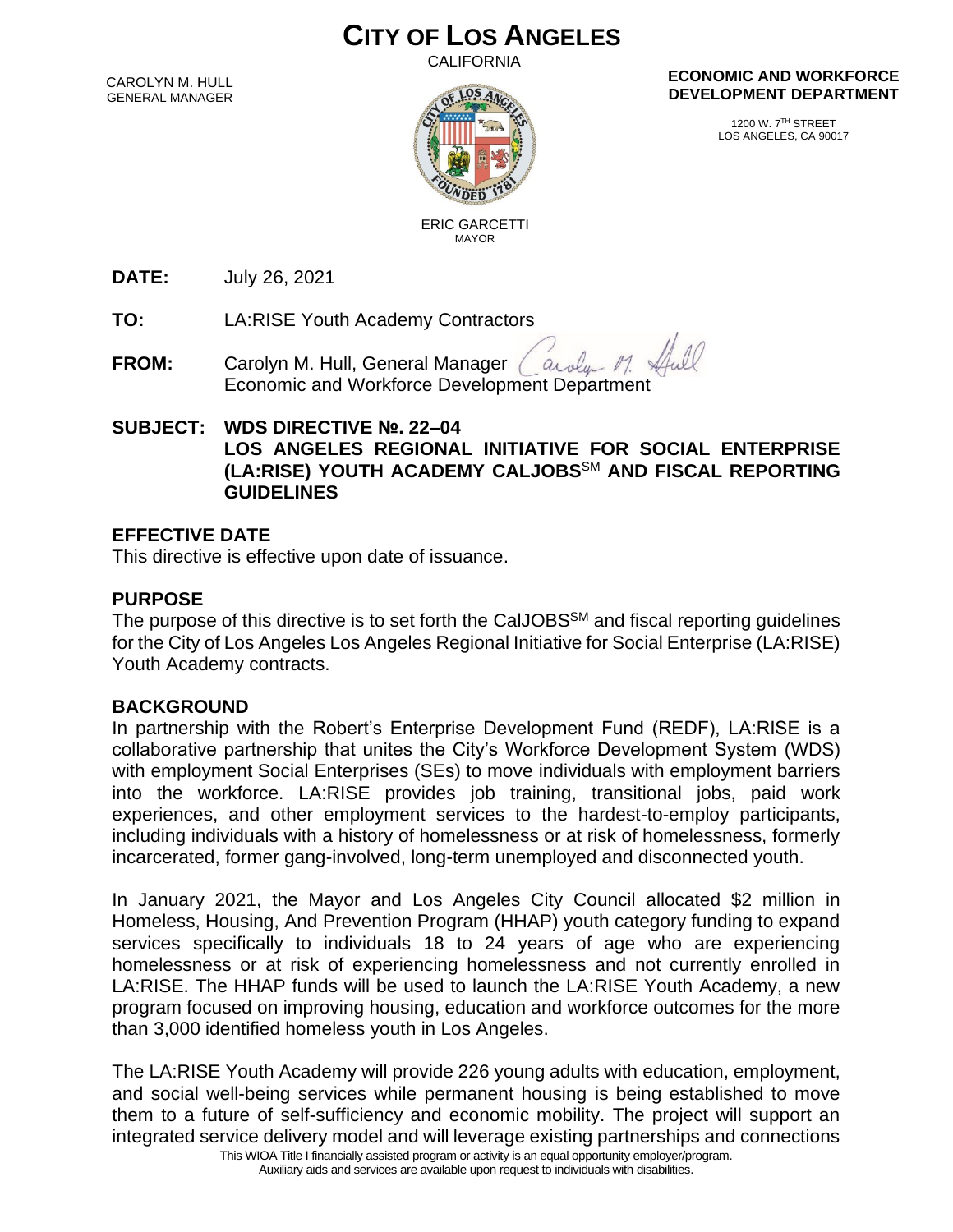# **CITY OF LOS ANGELES**

CALIFORNIA

CAROLYN M. HULL GENERAL MANAGER



#### **ECONOMIC AND WORKFORCE DEVELOPMENT DEPARTMENT**

1200 W. 7TH STREET LOS ANGELES, CA 90017

 ERIC GARCETTI MAYOR

**DATE:** July 26, 2021

**TO:** LA:RISE Youth Academy Contractors

**FROM:** Carolyn M. Hull, General Manager arola Economic and Workforce Development Department

## **SUBJECT: WDS DIRECTIVE №. 22–04**

#### **LOS ANGELES REGIONAL INITIATIVE FOR SOCIAL ENTERPRISE (LA:RISE) YOUTH ACADEMY CALJOBS**SM **AND FISCAL REPORTING GUIDELINES**

#### **EFFECTIVE DATE**

This directive is effective upon date of issuance.

### **PURPOSE**

The purpose of this directive is to set forth the CalJOBS<sup>SM</sup> and fiscal reporting quidelines for the City of Los Angeles Los Angeles Regional Initiative for Social Enterprise (LA:RISE) Youth Academy contracts.

#### **BACKGROUND**

In partnership with the Robert's Enterprise Development Fund (REDF), LA:RISE is a collaborative partnership that unites the City's Workforce Development System (WDS) with employment Social Enterprises (SEs) to move individuals with employment barriers into the workforce. LA:RISE provides job training, transitional jobs, paid work experiences, and other employment services to the hardest-to-employ participants, including individuals with a history of homelessness or at risk of homelessness, formerly incarcerated, former gang-involved, long-term unemployed and disconnected youth.

In January 2021, the Mayor and Los Angeles City Council allocated \$2 million in Homeless, Housing, And Prevention Program (HHAP) youth category funding to expand services specifically to individuals 18 to 24 years of age who are experiencing homelessness or at risk of experiencing homelessness and not currently enrolled in LA:RISE. The HHAP funds will be used to launch the LA:RISE Youth Academy, a new program focused on improving housing, education and workforce outcomes for the more than 3,000 identified homeless youth in Los Angeles.

The LA:RISE Youth Academy will provide 226 young adults with education, employment, and social well-being services while permanent housing is being established to move them to a future of self-sufficiency and economic mobility. The project will support an integrated service delivery model and will leverage existing partnerships and connections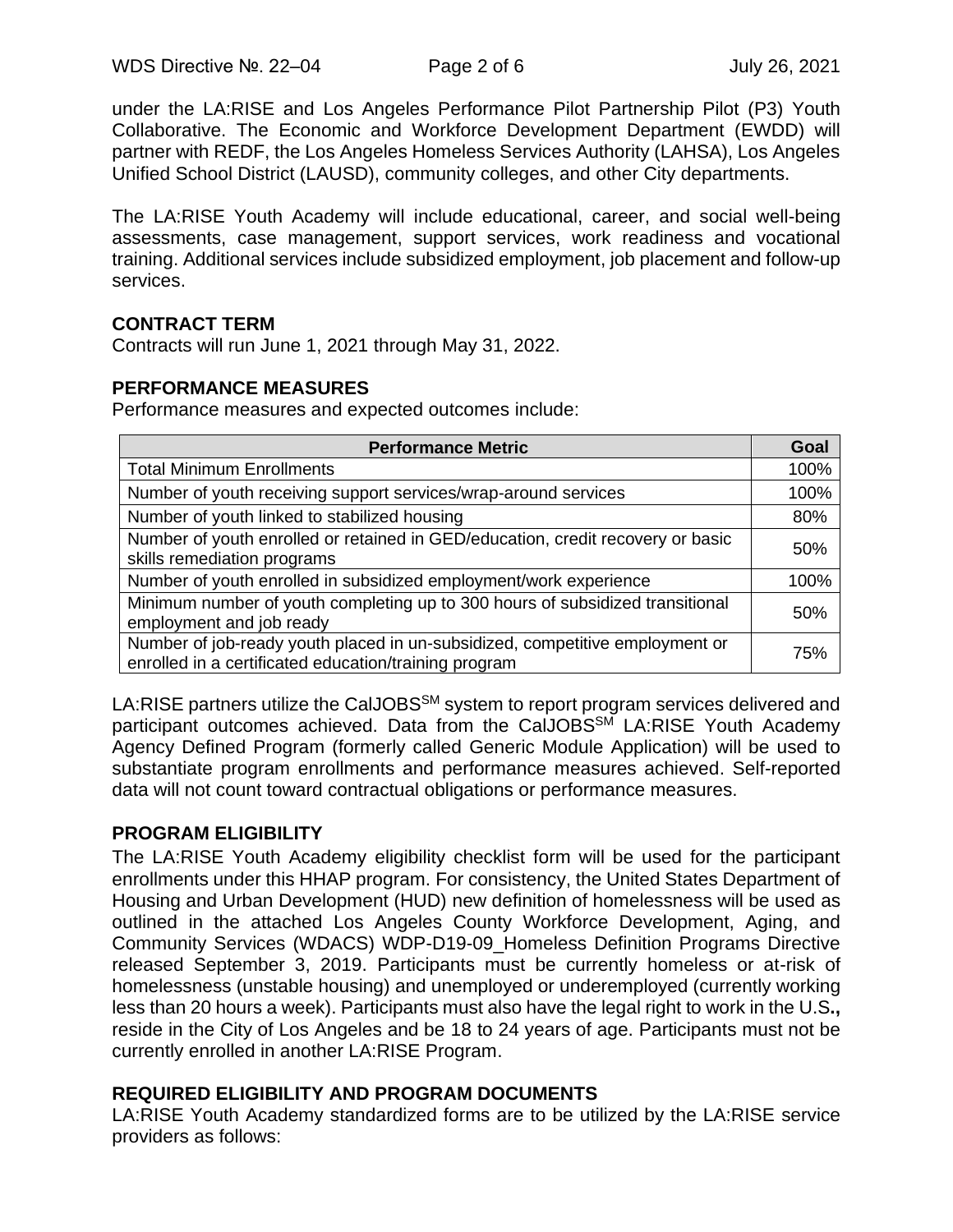under the LA:RISE and Los Angeles Performance Pilot Partnership Pilot (P3) Youth Collaborative. The Economic and Workforce Development Department (EWDD) will partner with REDF, the Los Angeles Homeless Services Authority (LAHSA), Los Angeles Unified School District (LAUSD), community colleges, and other City departments.

The LA:RISE Youth Academy will include educational, career, and social well-being assessments, case management, support services, work readiness and vocational training. Additional services include subsidized employment, job placement and follow-up services.

#### **CONTRACT TERM**

Contracts will run June 1, 2021 through May 31, 2022.

#### **PERFORMANCE MEASURES**

Performance measures and expected outcomes include:

| <b>Performance Metric</b>                                                                                                             |      |  |
|---------------------------------------------------------------------------------------------------------------------------------------|------|--|
| <b>Total Minimum Enrollments</b>                                                                                                      | 100% |  |
| Number of youth receiving support services/wrap-around services                                                                       | 100% |  |
| Number of youth linked to stabilized housing                                                                                          | 80%  |  |
| Number of youth enrolled or retained in GED/education, credit recovery or basic<br>skills remediation programs                        | 50%  |  |
| Number of youth enrolled in subsidized employment/work experience                                                                     | 100% |  |
| Minimum number of youth completing up to 300 hours of subsidized transitional<br>employment and job ready                             | 50%  |  |
| Number of job-ready youth placed in un-subsidized, competitive employment or<br>enrolled in a certificated education/training program | 75%  |  |

LA:RISE partners utilize the CalJOBS<sup>SM</sup> system to report program services delivered and participant outcomes achieved. Data from the CalJOBS<sup>SM</sup> LA:RISE Youth Academy Agency Defined Program (formerly called Generic Module Application) will be used to substantiate program enrollments and performance measures achieved. Self-reported data will not count toward contractual obligations or performance measures.

#### **PROGRAM ELIGIBILITY**

The LA:RISE Youth Academy eligibility checklist form will be used for the participant enrollments under this HHAP program. For consistency, the United States Department of Housing and Urban Development (HUD) new definition of homelessness will be used as outlined in the attached Los Angeles County Workforce Development, Aging, and Community Services (WDACS) WDP-D19-09\_Homeless Definition Programs Directive released September 3, 2019. Participants must be currently homeless or at-risk of homelessness (unstable housing) and unemployed or underemployed (currently working less than 20 hours a week). Participants must also have the legal right to work in the U.S**.,**  reside in the City of Los Angeles and be 18 to 24 years of age. Participants must not be currently enrolled in another LA:RISE Program.

#### **REQUIRED ELIGIBILITY AND PROGRAM DOCUMENTS**

LA:RISE Youth Academy standardized forms are to be utilized by the LA:RISE service providers as follows: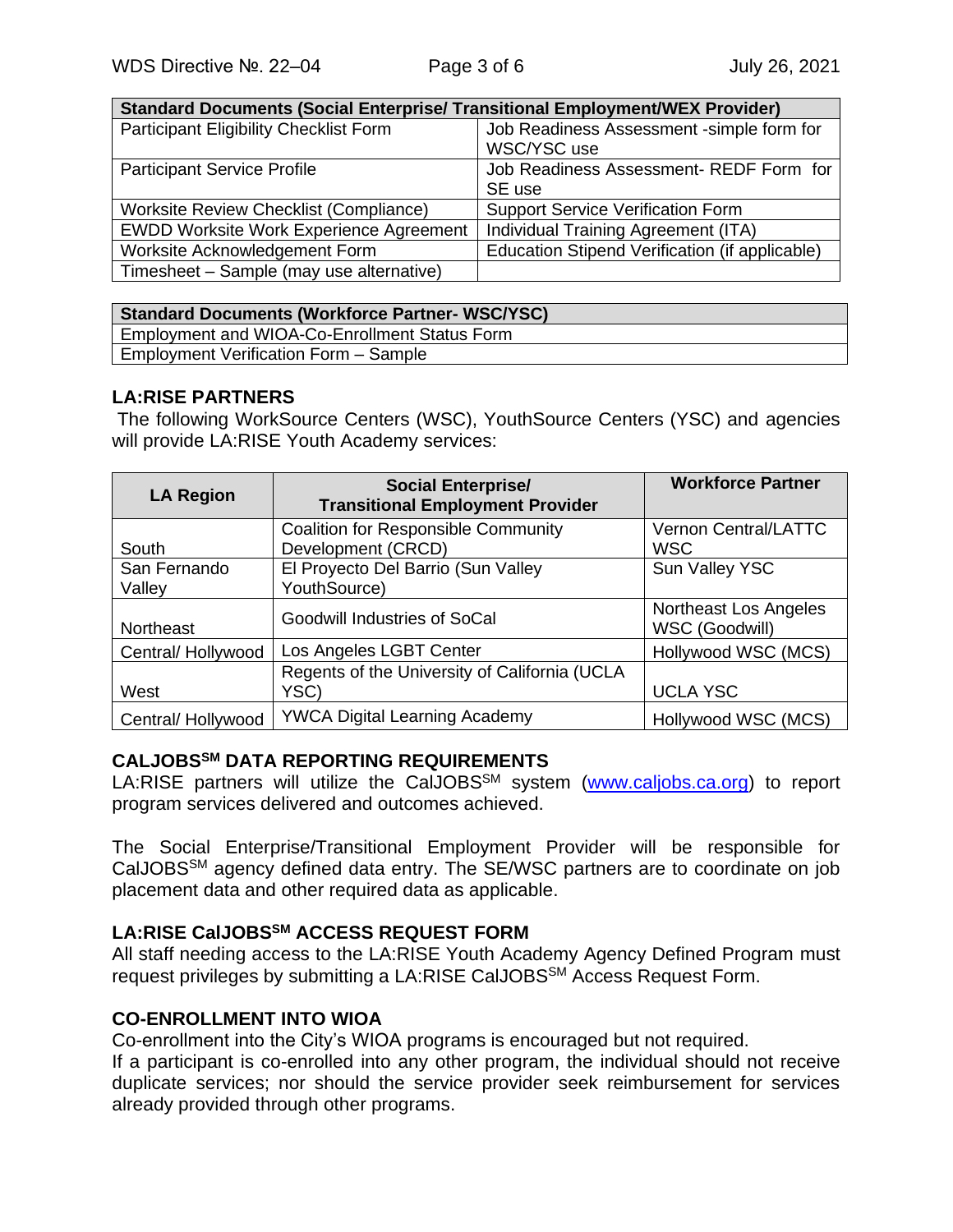| <b>Standard Documents (Social Enterprise/ Transitional Employment/WEX Provider)</b> |                                                |  |  |
|-------------------------------------------------------------------------------------|------------------------------------------------|--|--|
| Participant Eligibility Checklist Form                                              | Job Readiness Assessment -simple form for      |  |  |
|                                                                                     | WSC/YSC use                                    |  |  |
| <b>Participant Service Profile</b>                                                  | Job Readiness Assessment- REDF Form for        |  |  |
|                                                                                     | SE use                                         |  |  |
| <b>Worksite Review Checklist (Compliance)</b>                                       | <b>Support Service Verification Form</b>       |  |  |
| <b>EWDD Worksite Work Experience Agreement</b>                                      | Individual Training Agreement (ITA)            |  |  |
| Worksite Acknowledgement Form                                                       | Education Stipend Verification (if applicable) |  |  |
| Timesheet - Sample (may use alternative)                                            |                                                |  |  |

| <b>Standard Documents (Workforce Partner- WSC/YSC)</b> |
|--------------------------------------------------------|
| Employment and WIOA-Co-Enrollment Status Form          |
| Employment Verification Form - Sample                  |

### **LA:RISE PARTNERS**

The following WorkSource Centers (WSC), YouthSource Centers (YSC) and agencies will provide LA:RISE Youth Academy services:

| <b>LA Region</b>  | <b>Social Enterprise/</b><br><b>Transitional Employment Provider</b> | <b>Workforce Partner</b>                |
|-------------------|----------------------------------------------------------------------|-----------------------------------------|
|                   | <b>Coalition for Responsible Community</b>                           | Vernon Central/LATTC                    |
| South             | Development (CRCD)                                                   | <b>WSC</b>                              |
| San Fernando      | El Proyecto Del Barrio (Sun Valley                                   | Sun Valley YSC                          |
| Valley            | YouthSource)                                                         |                                         |
| Northeast         | <b>Goodwill Industries of SoCal</b>                                  | Northeast Los Angeles<br>WSC (Goodwill) |
| Central/Hollywood | Los Angeles LGBT Center                                              | Hollywood WSC (MCS)                     |
|                   | Regents of the University of California (UCLA                        |                                         |
| West              | YSC)                                                                 | <b>UCLA YSC</b>                         |
| Central/Hollywood | <b>YWCA Digital Learning Academy</b>                                 | Hollywood WSC (MCS)                     |

### **CALJOBSSM DATA REPORTING REQUIREMENTS**

LA:RISE partners will utilize the CalJOBS<sup>SM</sup> system [\(www.caljobs.ca.org\)](http://www.caljobs.ca.org/) to report program services delivered and outcomes achieved.

The Social Enterprise/Transitional Employment Provider will be responsible for CalJOBSSM agency defined data entry. The SE/WSC partners are to coordinate on job placement data and other required data as applicable.

### **LA:RISE CalJOBSSM ACCESS REQUEST FORM**

All staff needing access to the LA:RISE Youth Academy Agency Defined Program must request privileges by submitting a LA:RISE CalJOBSSM Access Request Form.

#### **CO-ENROLLMENT INTO WIOA**

Co-enrollment into the City's WIOA programs is encouraged but not required.

If a participant is co-enrolled into any other program, the individual should not receive duplicate services; nor should the service provider seek reimbursement for services already provided through other programs.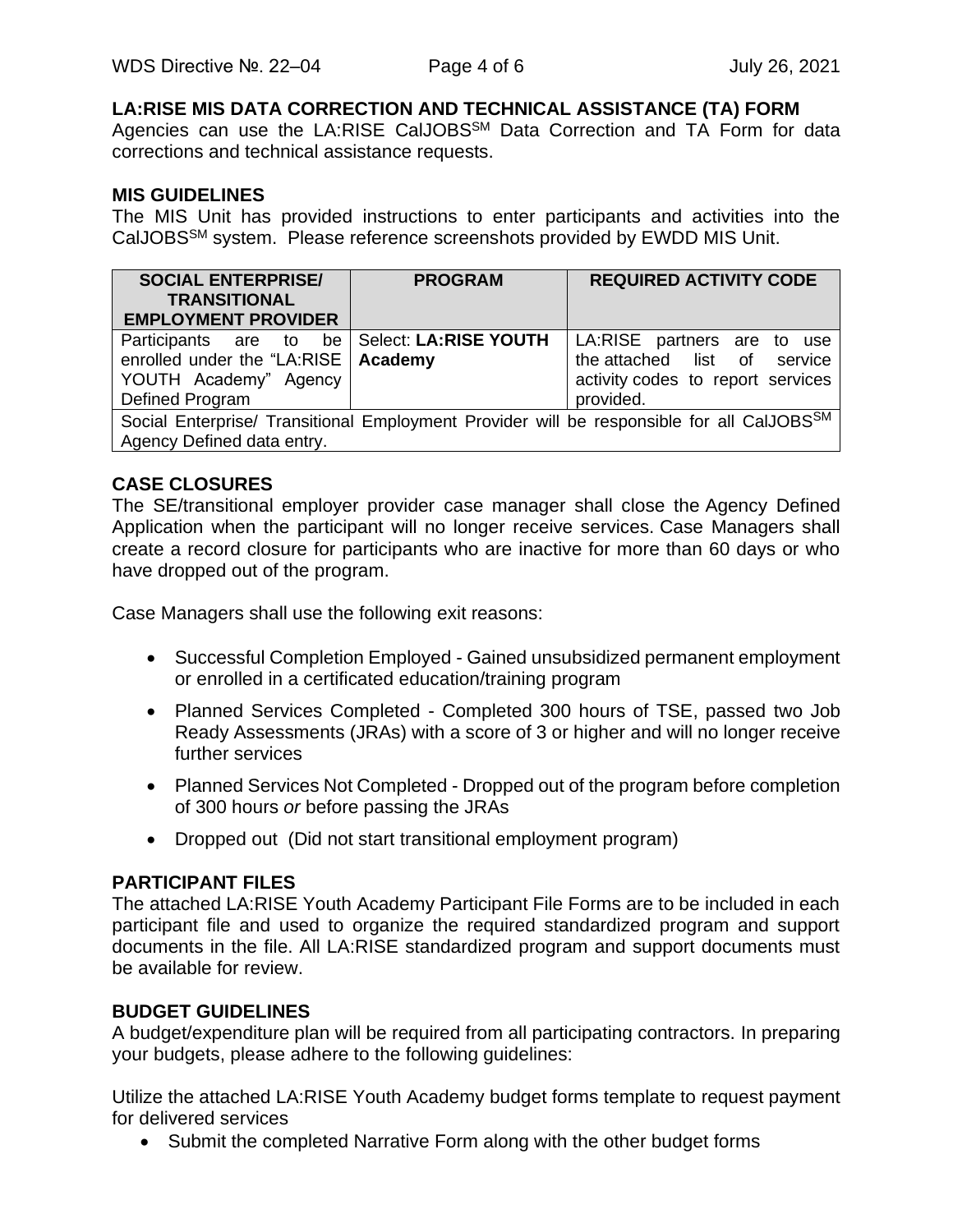### **LA:RISE MIS DATA CORRECTION AND TECHNICAL ASSISTANCE (TA) FORM**

Agencies can use the LA:RISE CalJOBS<sup>SM</sup> Data Correction and TA Form for data corrections and technical assistance requests.

#### **MIS GUIDELINES**

The MIS Unit has provided instructions to enter participants and activities into the CalJOBSSM system. Please reference screenshots provided by EWDD MIS Unit.

| <b>SOCIAL ENTERPRISE/</b><br><b>TRANSITIONAL</b><br><b>EMPLOYMENT PROVIDER</b>                                                      | <b>PROGRAM</b> | <b>REQUIRED ACTIVITY CODE</b>                                                                                 |  |  |
|-------------------------------------------------------------------------------------------------------------------------------------|----------------|---------------------------------------------------------------------------------------------------------------|--|--|
| Participants are to be   Select: LA:RISE YOUTH<br>enrolled under the "LA:RISE   Academy<br>YOUTH Academy" Agency<br>Defined Program |                | LA:RISE partners are to use<br>the attached list of service<br>activity codes to report services<br>provided. |  |  |
| Social Enterprise/ Transitional Employment Provider will be responsible for all CalJOBSSM<br>Agency Defined data entry.             |                |                                                                                                               |  |  |

#### **CASE CLOSURES**

The SE/transitional employer provider case manager shall close the Agency Defined Application when the participant will no longer receive services. Case Managers shall create a record closure for participants who are inactive for more than 60 days or who have dropped out of the program.

Case Managers shall use the following exit reasons:

- Successful Completion Employed Gained unsubsidized permanent employment or enrolled in a certificated education/training program
- Planned Services Completed Completed 300 hours of TSE, passed two Job Ready Assessments (JRAs) with a score of 3 or higher and will no longer receive further services
- Planned Services Not Completed Dropped out of the program before completion of 300 hours *or* before passing the JRAs
- Dropped out (Did not start transitional employment program)

#### **PARTICIPANT FILES**

The attached LA:RISE Youth Academy Participant File Forms are to be included in each participant file and used to organize the required standardized program and support documents in the file. All LA:RISE standardized program and support documents must be available for review.

#### **BUDGET GUIDELINES**

A budget/expenditure plan will be required from all participating contractors. In preparing your budgets, please adhere to the following guidelines:

Utilize the attached LA:RISE Youth Academy budget forms template to request payment for delivered services

• Submit the completed Narrative Form along with the other budget forms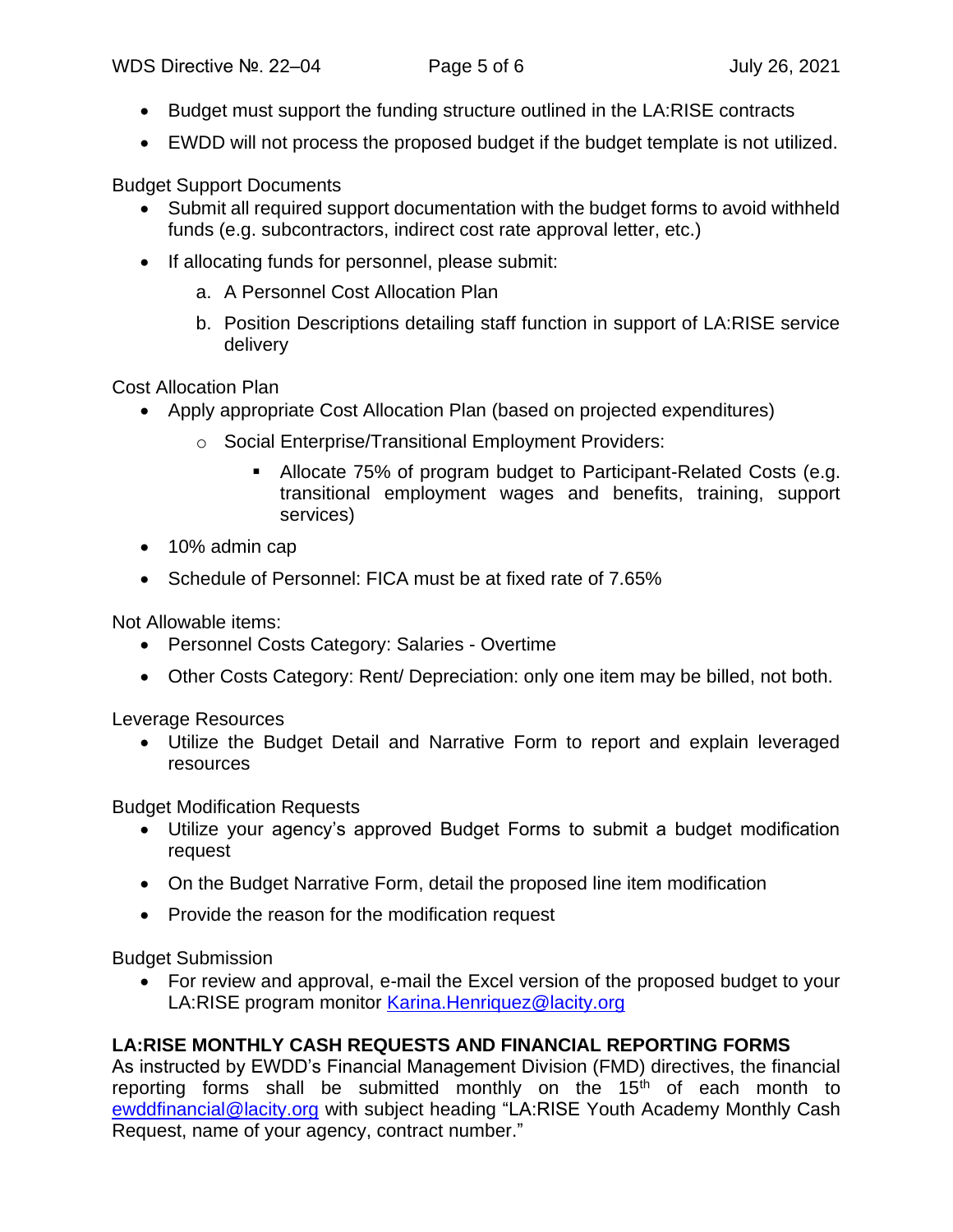- Budget must support the funding structure outlined in the LA:RISE contracts
- EWDD will not process the proposed budget if the budget template is not utilized.

Budget Support Documents

- Submit all required support documentation with the budget forms to avoid withheld funds (e.g. subcontractors, indirect cost rate approval letter, etc.)
- If allocating funds for personnel, please submit:
	- a. A Personnel Cost Allocation Plan
	- b. Position Descriptions detailing staff function in support of LA:RISE service delivery

Cost Allocation Plan

- Apply appropriate Cost Allocation Plan (based on projected expenditures)
	- o Social Enterprise/Transitional Employment Providers:
		- Allocate 75% of program budget to Participant-Related Costs (e.g. transitional employment wages and benefits, training, support services)
- 10% admin cap
- Schedule of Personnel: FICA must be at fixed rate of 7.65%

Not Allowable items:

- Personnel Costs Category: Salaries Overtime
- Other Costs Category: Rent/ Depreciation: only one item may be billed, not both.

Leverage Resources

• Utilize the Budget Detail and Narrative Form to report and explain leveraged resources

Budget Modification Requests

- Utilize your agency's approved Budget Forms to submit a budget modification request
- On the Budget Narrative Form, detail the proposed line item modification
- Provide the reason for the modification request

Budget Submission

• For review and approval, e-mail the Excel version of the proposed budget to your LA:RISE program monitor [Karina.Henriquez@lacity.org](mailto:Karina.Henriquez@lacity.org)

### **LA:RISE MONTHLY CASH REQUESTS AND FINANCIAL REPORTING FORMS**

As instructed by EWDD's Financial Management Division (FMD) directives, the financial reporting forms shall be submitted monthly on the  $15<sup>th</sup>$  of each month to [ewddfinancial@lacity.org](mailto:ewddfinancial@lacity.org) with subject heading "LA:RISE Youth Academy Monthly Cash Request, name of your agency, contract number."